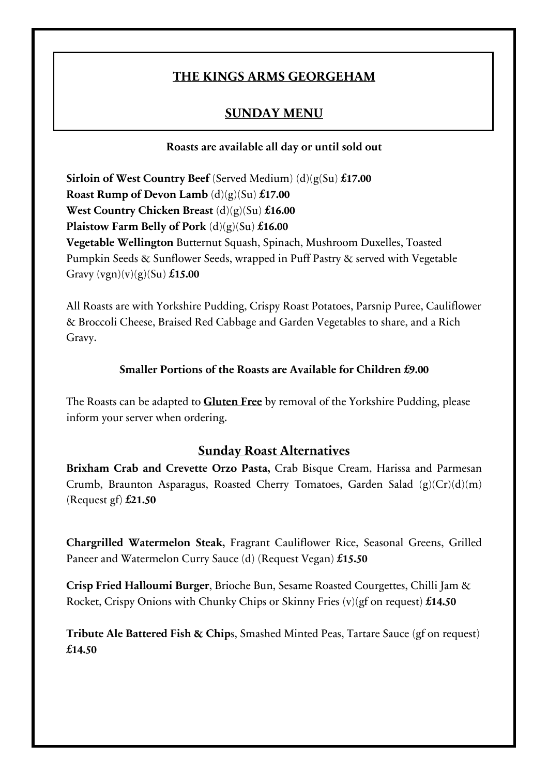# **THE KINGS ARMS GEORGEHAM**

# **SUNDAY MENU**

### **Roasts are available all day or until sold out**

**Sirloin of West Country Beef** (Served Medium) (d)(g(Su) **£17.00 Roast Rump of Devon Lamb** (d)(g)(Su) **£17.00 West Country Chicken Breast** (d)(g)(Su) **£16.00 Plaistow Farm Belly of Pork** (d)(g)(Su) **£16.00 Vegetable Wellington** Butternut Squash, Spinach, Mushroom Duxelles, Toasted Pumpkin Seeds & Sunflower Seeds, wrapped in Puff Pastry & served with Vegetable Gravy (vgn)(v)(g)(Su) **£15.00**

All Roasts are with Yorkshire Pudding, Crispy Roast Potatoes, Parsnip Puree, Cauliflower & Broccoli Cheese, Braised Red Cabbage and Garden Vegetables to share, and a Rich Gravy.

## **Smaller Portions of the Roasts are Available for Children £9.00**

The Roasts can be adapted to **Gluten Free** by removal of the Yorkshire Pudding, please inform your server when ordering.

# **Sunday Roast Alternatives**

**Brixham Crab and Crevette Orzo Pasta,** Crab Bisque Cream, Harissa and Parmesan Crumb, Braunton Asparagus, Roasted Cherry Tomatoes, Garden Salad (g)(Cr)(d)(m) (Request gf) **£21.50**

**Chargrilled Watermelon Steak,** Fragrant Cauliflower Rice, Seasonal Greens, Grilled Paneer and Watermelon Curry Sauce (d) (Request Vegan) **£15.50**

**Crisp Fried Halloumi Burger**, Brioche Bun, Sesame Roasted Courgettes, Chilli Jam & Rocket, Crispy Onions with Chunky Chips or Skinny Fries (v)(gf on request) **£14.50**

**Tribute Ale Battered Fish & Chip**s, Smashed Minted Peas, Tartare Sauce (gf on request) **£14.50**